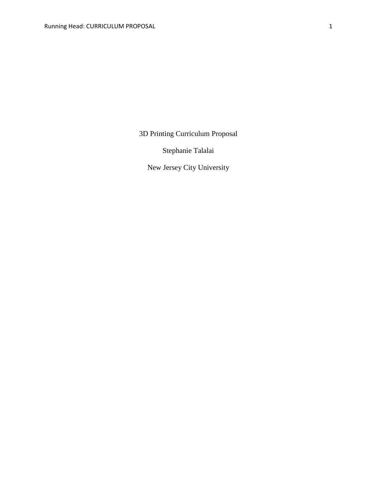3D Printing Curriculum Proposal

Stephanie Talalai

New Jersey City University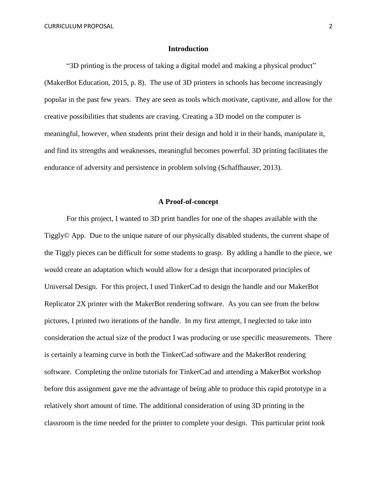CURRICULUM PROPOSAL 2

## **Introduction**

"3D printing is the process of taking a digital model and making a physical product" (MakerBot Education, 2015, p. 8).The use of 3D printers in schools has become increasingly popular in the past few years. They are seen as tools which motivate, captivate, and allow for the creative possibilities that students are craving. Creating a 3D model on the computer is meaningful, however, when students print their design and hold it in their hands, manipulate it, and find its strengths and weaknesses, meaningful becomes powerful. 3D printing facilitates the endurance of adversity and persistence in problem solving (Schaffhauser, 2013).

## **A Proof-of-concept**

For this project, I wanted to 3D print handles for one of the shapes available with the Tiggly© App. Due to the unique nature of our physically disabled students, the current shape of the Tiggly pieces can be difficult for some students to grasp. By adding a handle to the piece, we would create an adaptation which would allow for a design that incorporated principles of Universal Design. For this project, I used TinkerCad to design the handle and our MakerBot Replicator 2X printer with the MakerBot rendering software. As you can see from the below pictures, I printed two iterations of the handle. In my first attempt, I neglected to take into consideration the actual size of the product I was producing or use specific measurements. There is certainly a learning curve in both the TinkerCad software and the MakerBot rendering software. Completing the online tutorials for TinkerCad and attending a MakerBot workshop before this assignment gave me the advantage of being able to produce this rapid prototype in a relatively short amount of time. The additional consideration of using 3D printing in the classroom is the time needed for the printer to complete your design. This particular print took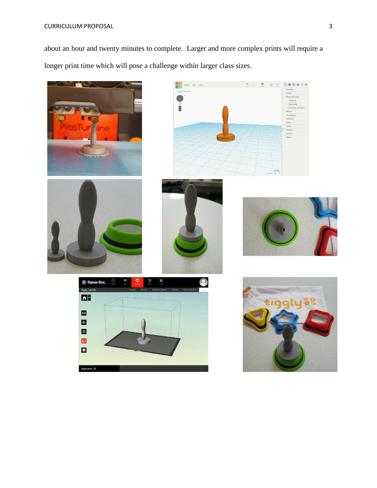# CURRICULUM PROPOSAL 3

about an hour and twenty minutes to complete. Larger and more complex prints will require a longer print time which will pose a challenge within larger class sizes.

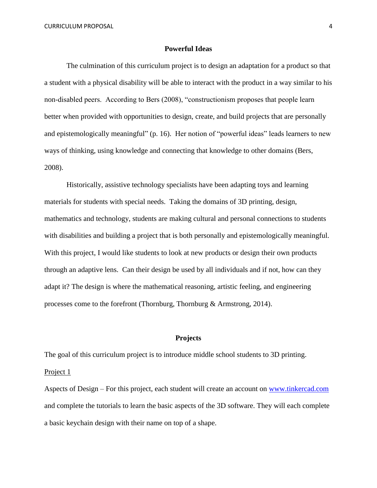#### **Powerful Ideas**

The culmination of this curriculum project is to design an adaptation for a product so that a student with a physical disability will be able to interact with the product in a way similar to his non-disabled peers. According to Bers (2008), "constructionism proposes that people learn better when provided with opportunities to design, create, and build projects that are personally and epistemologically meaningful" (p. 16). Her notion of "powerful ideas" leads learners to new ways of thinking, using knowledge and connecting that knowledge to other domains (Bers, 2008).

Historically, assistive technology specialists have been adapting toys and learning materials for students with special needs. Taking the domains of 3D printing, design, mathematics and technology, students are making cultural and personal connections to students with disabilities and building a project that is both personally and epistemologically meaningful. With this project, I would like students to look at new products or design their own products through an adaptive lens. Can their design be used by all individuals and if not, how can they adapt it? The design is where the mathematical reasoning, artistic feeling, and engineering processes come to the forefront (Thornburg, Thornburg & Armstrong, 2014).

## **Projects**

The goal of this curriculum project is to introduce middle school students to 3D printing. Project 1

Aspects of Design – For this project, each student will create an account on [www.tinkercad.com](http://www.tinkercad.com/) and complete the tutorials to learn the basic aspects of the 3D software. They will each complete a basic keychain design with their name on top of a shape.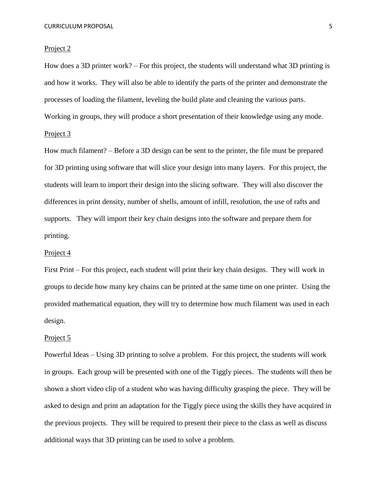#### Project 2

How does a 3D printer work? – For this project, the students will understand what 3D printing is and how it works. They will also be able to identify the parts of the printer and demonstrate the processes of loading the filament, leveling the build plate and cleaning the various parts. Working in groups, they will produce a short presentation of their knowledge using any mode. Project 3

How much filament? – Before a 3D design can be sent to the printer, the file must be prepared for 3D printing using software that will slice your design into many layers. For this project, the students will learn to import their design into the slicing software. They will also discover the differences in print density, number of shells, amount of infill, resolution, the use of rafts and supports. They will import their key chain designs into the software and prepare them for printing.

## Project 4

First Print – For this project, each student will print their key chain designs. They will work in groups to decide how many key chains can be printed at the same time on one printer. Using the provided mathematical equation, they will try to determine how much filament was used in each design.

#### Project 5

Powerful Ideas – Using 3D printing to solve a problem. For this project, the students will work in groups. Each group will be presented with one of the Tiggly pieces. The students will then be shown a short video clip of a student who was having difficulty grasping the piece. They will be asked to design and print an adaptation for the Tiggly piece using the skills they have acquired in the previous projects. They will be required to present their piece to the class as well as discuss additional ways that 3D printing can be used to solve a problem.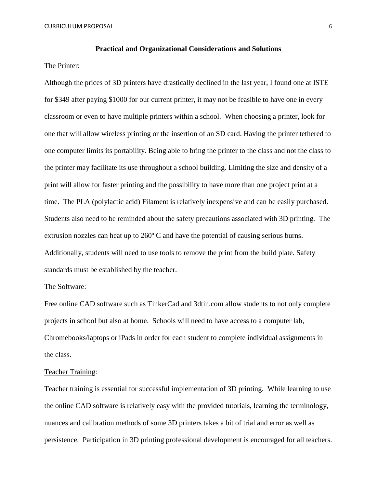#### **Practical and Organizational Considerations and Solutions**

## The Printer:

Although the prices of 3D printers have drastically declined in the last year, I found one at ISTE for \$349 after paying \$1000 for our current printer, it may not be feasible to have one in every classroom or even to have multiple printers within a school. When choosing a printer, look for one that will allow wireless printing or the insertion of an SD card. Having the printer tethered to one computer limits its portability. Being able to bring the printer to the class and not the class to the printer may facilitate its use throughout a school building. Limiting the size and density of a print will allow for faster printing and the possibility to have more than one project print at a time. The PLA (polylactic acid) Filament is relatively inexpensive and can be easily purchased. Students also need to be reminded about the safety precautions associated with 3D printing. The extrusion nozzles can heat up to 260º C and have the potential of causing serious burns. Additionally, students will need to use tools to remove the print from the build plate. Safety standards must be established by the teacher.

## The Software:

Free online CAD software such as TinkerCad and 3dtin.com allow students to not only complete projects in school but also at home. Schools will need to have access to a computer lab, Chromebooks/laptops or iPads in order for each student to complete individual assignments in the class.

## Teacher Training:

Teacher training is essential for successful implementation of 3D printing. While learning to use the online CAD software is relatively easy with the provided tutorials, learning the terminology, nuances and calibration methods of some 3D printers takes a bit of trial and error as well as persistence. Participation in 3D printing professional development is encouraged for all teachers.